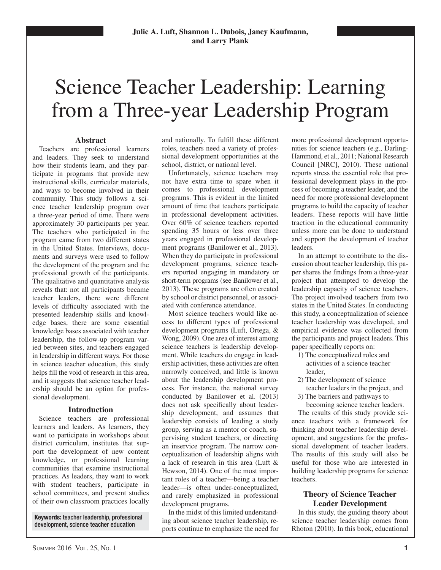# Science Teacher Leadership: Learning from a Three-year Leadership Program

## **Abstract**

Teachers are professional learners and leaders. They seek to understand how their students learn, and they participate in programs that provide new instructional skills, curricular materials, and ways to become involved in their community. This study follows a science teacher leadership program over a three-year period of time. There were approximately 30 participants per year. The teachers who participated in the program came from two different states in the United States. Interviews, documents and surveys were used to follow the development of the program and the professional growth of the participants. The qualitative and quantitative analysis reveals that: not all participants became teacher leaders, there were different levels of difficulty associated with the presented leadership skills and knowledge bases, there are some essential knowledge bases associated with teacher leadership, the follow-up program varied between sites, and teachers engaged in leadership in different ways. For those in science teacher education, this study helps fill the void of research in this area, and it suggests that science teacher leadership should be an option for professional development.

# **Introduction**

Science teachers are professional learners and leaders. As learners, they want to participate in workshops about district curriculum, institutes that support the development of new content knowledge, or professional learning communities that examine instructional practices. As leaders, they want to work with student teachers, participate in school committees, and present studies of their own classroom practices locally

**Keywords:** teacher leadership, professional development, science teacher education

and nationally. To fulfill these different roles, teachers need a variety of professional development opportunities at the school, district, or national level.

Unfortunately, science teachers may not have extra time to spare when it comes to professional development programs. This is evident in the limited amount of time that teachers participate in professional development activities. Over 60% of science teachers reported spending 35 hours or less over three years engaged in professional development programs (Banilower et al., 2013). When they do participate in professional development programs, science teachers reported engaging in mandatory or short-term programs (see Banilower et al., 2013). These programs are often created by school or district personnel, or associated with conference attendance.

Most science teachers would like access to different types of professional development programs (Luft, Ortega, & Wong, 2009). One area of interest among science teachers is leadership development. While teachers do engage in leadership activities, these activities are often narrowly conceived, and little is known about the leadership development process. For instance, the national survey conducted by Banilower et al. (2013) does not ask specifically about leadership development, and assumes that leadership consists of leading a study group, serving as a mentor or coach, supervising student teachers, or directing an inservice program. The narrow conceptualization of leadership aligns with a lack of research in this area (Luft & Hewson, 2014). One of the most important roles of a teacher—being a teacher leader—is often under-conceptualized, and rarely emphasized in professional development programs.

In the midst of this limited understanding about science teacher leadership, reports continue to emphasize the need for

more professional development opportunities for science teachers (e.g., Darling-Hammond, et al., 2011; National Research Council [NRC], 2010). These national reports stress the essential role that professional development plays in the process of becoming a teacher leader, and the need for more professional development programs to build the capacity of teacher leaders. These reports will have little traction in the educational community unless more can be done to understand and support the development of teacher leaders.

In an attempt to contribute to the discussion about teacher leadership, this paper shares the findings from a three-year project that attempted to develop the leadership capacity of science teachers. The project involved teachers from two states in the United States. In conducting this study, a conceptualization of science teacher leadership was developed, and empirical evidence was collected from the participants and project leaders. This paper specifically reports on:

- 1) The conceptualized roles and activities of a science teacher leader,
- 2) The development of science teacher leaders in the project, and
- 3) The barriers and pathways to

becoming science teacher leaders.

The results of this study provide science teachers with a framework for thinking about teacher leadership development, and suggestions for the professional development of teacher leaders. The results of this study will also be useful for those who are interested in building leadership programs for science teachers.

# **Theory of Science Teacher Leader Development**

In this study, the guiding theory about science teacher leadership comes from Rhoton (2010). In this book, educational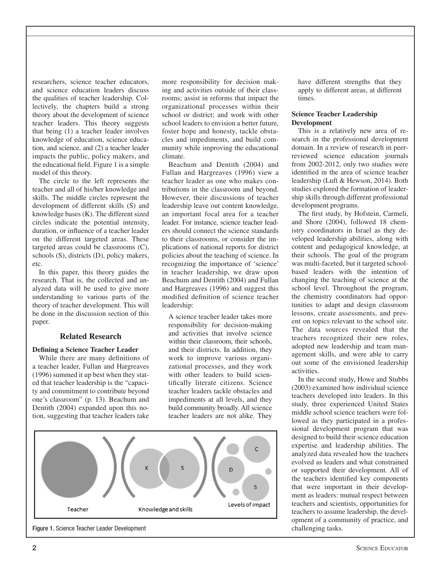researchers, science teacher educators, and science education leaders discuss the qualities of teacher leadership. Collectively, the chapters build a strong theory about the development of science teacher leaders. This theory suggests that being (1) a teacher leader involves knowledge of education, science education, and science, and (2) a teacher leader impacts the public, policy makers, and the educational field. Figure  $1$  is a simple model of this theory.

The circle to the left represents the teacher and all of his/her knowledge and skills. The middle circles represent the development of different skills (S) and knowledge bases (K). The different sized circles indicate the potential intensity, duration, or influence of a teacher leader on the different targeted areas. These targeted areas could be classrooms (C), schools (S), districts (D), policy makers, etc.

In this paper, this theory guides the research. That is, the collected and analyzed data will be used to give more understanding to various parts of the theory of teacher development. This will be done in the discussion section of this paper.

# **Related Research**

## **Defining a Science Teacher Leader**

While there are many definitions of a teacher leader, Fullan and Hargreaves (1996) summed it up best when they stated that teacher leadership is the "capacity and commitment to contribute beyond one's classroom" (p. 13). Beachum and Dentith (2004) expanded upon this notion, suggesting that teacher leaders take



Beachum and Dentith (2004) and Fullan and Hargreaves (1996) view a teacher leader as one who makes contributions in the classroom and beyond. However, their discussions of teacher leadership leave out content knowledge, an important focal area for a teacher leader. For instance, science teacher leaders should connect the science standards to their classrooms, or consider the implications of national reports for district policies about the teaching of science. In recognizing the importance of 'science' in teacher leadership, we draw upon Beachum and Dentith (2004) and Fullan and Hargreaves (1996) and suggest this modified definition of science teacher leadership:

A science teacher leader takes more responsibility for decision-making and activities that involve science within their classroom, their schools, and their districts. In addition, they work to improve various organizational processes, and they work with other leaders to build scientifically literate citizens. Science teacher leaders tackle obstacles and impediments at all levels, and they build community broadly. All science teacher leaders are not alike. They



Figure 1. Science Teacher Leader Development challenging tasks.

have different strengths that they apply to different areas, at different times.

## **Science Teacher Leadership Development**

This is a relatively new area of research in the professional development domain. In a review of research in peerreviewed science education journals from 2002-2012, only two studies were identified in the area of science teacher leadership (Luft & Hewson, 2014). Both studies explored the formation of leadership skills through different professional development programs.

The first study, by Hofstein, Carmeli, and Shore (2004), followed 18 chemistry coordinators in Israel as they developed leadership abilities, along with content and pedagogical knowledge, at their schools. The goal of the program was multi-faceted, but it targeted schoolbased leaders with the intention of changing the teaching of science at the school level. Throughout the program, the chemistry coordinators had opportunities to adapt and design classroom lessons, create assessments, and present on topics relevant to the school site. The data sources revealed that the teachers recognized their new roles, adopted new leadership and team management skills, and were able to carry out some of the envisioned leadership activities.

In the second study, Howe and Stubbs (2003) examined how individual science teachers developed into leaders. In this study, three experienced United States middle school science teachers were followed as they participated in a professional development program that was designed to build their science education expertise and leadership abilities. The analyzed data revealed how the teachers evolved as leaders and what constrained or supported their development. All of the teachers identified key components that were important in their development as leaders: mutual respect between teachers and scientists, opportunities for teachers to assume leadership, the development of a community of practice, and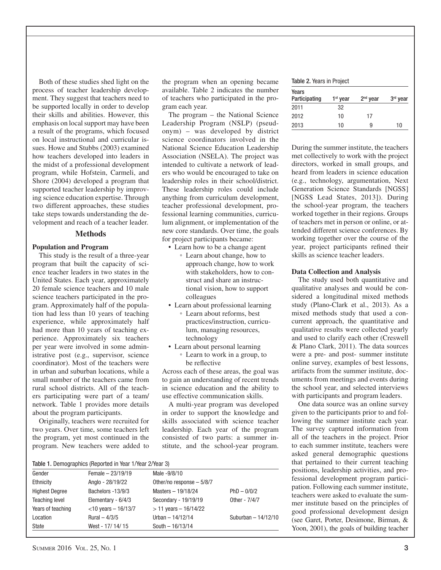Both of these studies shed light on the process of teacher leadership development. They suggest that teachers need to be supported locally in order to develop their skills and abilities. However, this emphasis on local support may have been a result of the programs, which focused on local instructional and curricular issues. Howe and Stubbs (2003) examined how teachers developed into leaders in the midst of a professional development program, while Hofstein, Carmeli, and Shore (2004) developed a program that supported teacher leadership by improving science education expertise. Through two different approaches, these studies take steps towards understanding the development and reach of a teacher leader.

## **Methods**

## **Population and Program**

This study is the result of a three-year program that built the capacity of science teacher leaders in two states in the United States. Each year, approximately 20 female science teachers and 10 male science teachers participated in the program. Approximately half of the population had less than 10 years of teaching experience, while approximately half had more than 10 years of teaching experience. Approximately six teachers per year were involved in some administrative post (e.g., supervisor, science coordinator). Most of the teachers were in urban and suburban locations, while a small number of the teachers came from rural school districts. All of the teachers participating were part of a team/ network. Table 1 provides more details about the program participants.

Originally, teachers were recruited for two years. Over time, some teachers left the program, yet most continued in the program. New teachers were added to the program when an opening became available. Table 2 indicates the number of teachers who participated in the program each year.

The program – the National Science Leadership Program (NSLP) (pseudonym) – was developed by district science coordinators involved in the National Science Education Leadership Association (NSELA). The project was intended to cultivate a network of leaders who would be encouraged to take on leadership roles in their school/district. These leadership roles could include anything from curriculum development, teacher professional development, professional learning communities, curriculum alignment, or implementation of the new core standards. Over time, the goals for project participants became:

- Learn how to be a change agent ◦ Learn about change, how to approach change, how to work with stakeholders, how to construct and share an instructional vision, how to support colleagues
- Learn about professional learning
	- Learn about reforms, best practices/instruction, curriculum, managing resources, technology
- Learn about personal learning ◦ Learn to work in a group, to be reflective

Across each of these areas, the goal was to gain an understanding of recent trends in science education and the ability to use effective communication skills.

A multi-year program was developed in order to support the knowledge and skills associated with science teacher leadership. Each year of the program consisted of two parts: a summer institute, and the school-year program.

| Table 1. Demographics (Reported in Year 1/Year 2/Year 3) |
|----------------------------------------------------------|
|----------------------------------------------------------|

|                       | <b>Table 1.</b> Defined applies the political in real 17 real 27 real of |                           |                      |
|-----------------------|--------------------------------------------------------------------------|---------------------------|----------------------|
| Gender                | Female $-23/19/19$                                                       | Male -9/8/10              |                      |
| Ethnicity             | Anglo - 28/19/22                                                         | Other/no response - 5/8/7 |                      |
| <b>Highest Degree</b> | Bachelors -13/9/3                                                        | Masters - 19/18/24        | $PhD - 0/0/2$        |
| <b>Teaching level</b> | Elementary - 6/4/3                                                       | Secondary - 19/19/19      | Other - 7/4/7        |
| Years of teaching     | $<$ 10 years - 16/13/7                                                   | $>$ 11 years $-$ 16/14/22 |                      |
| Location              | Rural $-4/3/5$                                                           | Urban $-14/12/14$         | Suburban $-14/12/10$ |
| State                 | West - 17/ 14/ 15                                                        | South $-16/13/14$         |                      |
|                       |                                                                          |                           |                      |

Table 2. Years in Project

| Years<br>Participating | 1 <sup>st</sup> year | $2nd$ year | 3 <sup>rd</sup> year |
|------------------------|----------------------|------------|----------------------|
| 2011                   | 32                   |            |                      |
| 2012                   | 10                   | 17         |                      |
| 2013                   | 10                   | 9          | 10                   |

During the summer institute, the teachers met collectively to work with the project directors, worked in small groups, and heard from leaders in science education (e.g., technology, argumentation, Next Generation Science Standards [NGSS] [NGSS Lead States, 2013]). During the school-year program, the teachers worked together in their regions. Groups of teachers met in person or online, or attended different science conferences. By working together over the course of the year, project participants refined their skills as science teacher leaders.

#### **Data Collection and Analysis**

The study used both quantitative and qualitative analyses and would be considered a longitudinal mixed methods study (Plano-Clark et al., 2013). As a mixed methods study that used a concurrent approach, the quantitative and qualitative results were collected yearly and used to clarify each other (Creswell & Plano Clark, 2011). The data sources were a pre- and post- summer institute online survey, examples of best lessons, artifacts from the summer institute, documents from meetings and events during the school year, and selected interviews with participants and program leaders.

One data source was an online survey given to the participants prior to and following the summer institute each year. The survey captured information from all of the teachers in the project. Prior to each summer institute, teachers were asked general demographic questions that pertained to their current teaching positions, leadership activities, and professional development program participation. Following each summer institute, teachers were asked to evaluate the summer institute based on the principles of good professional development design (see Garet, Porter, Desimone, Birman, & Yoon, 2001), the goals of building teacher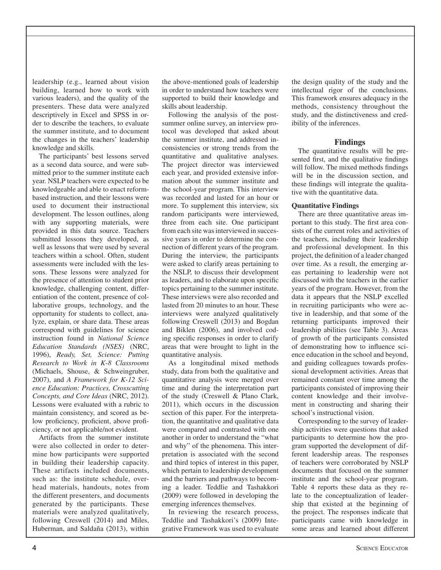leadership (e.g., learned about vision building, learned how to work with various leaders), and the quality of the presenters. These data were analyzed descriptively in Excel and SPSS in order to describe the teachers, to evaluate the summer institute, and to document the changes in the teachers' leadership knowledge and skills.

The participants' best lessons served as a second data source, and were submitted prior to the summer institute each year. NSLP teachers were expected to be knowledgeable and able to enact reformbased instruction, and their lessons were used to document their instructional development. The lesson outlines, along with any supporting materials, were provided in this data source. Teachers submitted lessons they developed, as well as lessons that were used by several teachers within a school. Often, student assessments were included with the lessons. These lessons were analyzed for the presence of attention to student prior knowledge, challenging content, differentiation of the content, presence of collaborative groups, technology, and the opportunity for students to collect, analyze, explain, or share data. These areas correspond with guidelines for science instruction found in *National Science Education Standards (NSES)* (NRC, 1996), *Ready, Set, Science: Putting Research to Work in K-8 Classrooms* (Michaels, Shouse, & Schweingruber, 2007), and *A Framework for K-12 Science Education: Practices, Crosscutting Concepts, and Core Ideas* (NRC, 2012). Lessons were evaluated with a rubric to maintain consistency, and scored as below proficiency, proficient, above proficiency, or not applicable/not evident.

Artifacts from the summer institute were also collected in order to determine how participants were supported in building their leadership capacity. These artifacts included documents, such as: the institute schedule, overhead materials, handouts, notes from the different presenters, and documents generated by the participants. These materials were analyzed qualitatively, following Creswell (2014) and Miles, Huberman, and Saldaña (2013), within

the above-mentioned goals of leadership in order to understand how teachers were supported to build their knowledge and skills about leadership.

Following the analysis of the postsummer online survey, an interview protocol was developed that asked about the summer institute, and addressed inconsistencies or strong trends from the quantitative and qualitative analyses. The project director was interviewed each year, and provided extensive information about the summer institute and the school-year program. This interview was recorded and lasted for an hour or more. To supplement this interview, six random participants were interviewed, three from each site. One participant from each site was interviewed in successive years in order to determine the connection of different years of the program. During the interview, the participants were asked to clarify areas pertaining to the NSLP, to discuss their development as leaders, and to elaborate upon specific topics pertaining to the summer institute. These interviews were also recorded and lasted from 20 minutes to an hour. These interviews were analyzed qualitatively following Creswell (2013) and Bogdan and Biklen (2006), and involved coding specific responses in order to clarify areas that were brought to light in the quantitative analysis.

As a longitudinal mixed methods study, data from both the qualitative and quantitative analysis were merged over time and during the interpretation part of the study (Creswell & Plano Clark, 2011), which occurs in the discussion section of this paper. For the interpretation, the quantitative and qualitative data were compared and contrasted with one another in order to understand the "what and why" of the phenomena. This interpretation is associated with the second and third topics of interest in this paper, which pertain to leadership development and the barriers and pathways to becoming a leader. Teddlie and Tashakkori (2009) were followed in developing the emerging inferences themselves.

In reviewing the research process, Teddlie and Tashakkori's (2009) Integrative Framework was used to evaluate

the design quality of the study and the intellectual rigor of the conclusions. This framework ensures adequacy in the methods, consistency throughout the study, and the distinctiveness and credibility of the inferences.

# **Findings**

The quantitative results will be presented first, and the qualitative findings will follow. The mixed methods findings will be in the discussion section, and these findings will integrate the qualitative with the quantitative data.

# **Quantitative Findings**

There are three quantitative areas important to this study. The first area consists of the current roles and activities of the teachers, including their leadership and professional development. In this project, the definition of a leader changed over time. As a result, the emerging areas pertaining to leadership were not discussed with the teachers in the earlier years of the program. However, from the data it appears that the NSLP excelled in recruiting participants who were active in leadership, and that some of the returning participants improved their leadership abilities (see Table 3). Areas of growth of the participants consisted of demonstrating how to influence science education in the school and beyond, and guiding colleagues towards professional development activities. Areas that remained constant over time among the participants consisted of improving their content knowledge and their involvement in constructing and sharing their school's instructional vision.

Corresponding to the survey of leadership activities were questions that asked participants to determine how the program supported the development of different leadership areas. The responses of teachers were corroborated by NSLP documents that focused on the summer institute and the school-year program. Table 4 reports these data as they relate to the conceptualization of leadership that existed at the beginning of the project. The responses indicate that participants came with knowledge in some areas and learned about different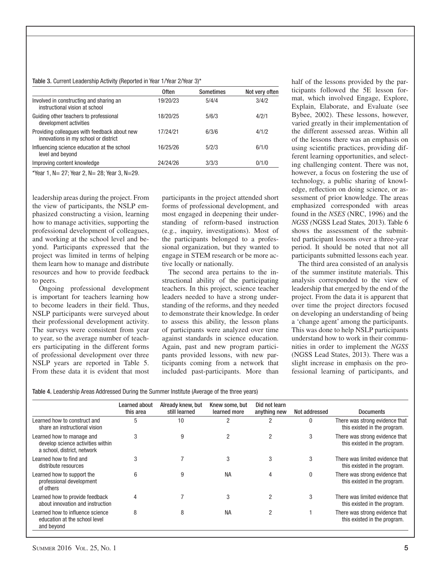#### Table 3. Current Leadership Activity (Reported in Year 1/Year 2/Year 3)\*

|                                                                                      | 0ften    | <b>Sometimes</b> | Not very often |
|--------------------------------------------------------------------------------------|----------|------------------|----------------|
| Involved in constructing and sharing an<br>instructional vision at school            | 19/20/23 | 5/4/4            | 3/4/2          |
| Guiding other teachers to professional<br>development activities                     | 18/20/25 | 5/6/3            | 4/2/1          |
| Providing colleagues with feedback about new<br>innovations in my school or district | 17/24/21 | 6/3/6            | 4/1/2          |
| Influencing science education at the school<br>level and beyond                      | 16/25/26 | 5/2/3            | 6/1/0          |
| Improving content knowledge                                                          | 24/24/26 | 3/3/3            | 0/1/0          |

\*Year 1, N= 27; Year 2, N= 28; Year 3, N=29.

leadership areas during the project. From the view of participants, the NSLP emphasized constructing a vision, learning how to manage activities, supporting the professional development of colleagues, and working at the school level and beyond. Participants expressed that the project was limited in terms of helping them learn how to manage and distribute resources and how to provide feedback to peers.

Ongoing professional development is important for teachers learning how to become leaders in their field. Thus, NSLP participants were surveyed about their professional development activity. The surveys were consistent from year to year, so the average number of teachers participating in the different forms of professional development over three NSLP years are reported in Table 5. From these data it is evident that most participants in the project attended short forms of professional development, and most engaged in deepening their understanding of reform-based instruction (e.g., inquiry, investigations). Most of the participants belonged to a professional organization, but they wanted to engage in STEM research or be more active locally or nationally.

The second area pertains to the instructional ability of the participating teachers. In this project, science teacher leaders needed to have a strong understanding of the reforms, and they needed to demonstrate their knowledge. In order to assess this ability, the lesson plans of participants were analyzed over time against standards in science education. Again, past and new program participants provided lessons, with new participants coming from a network that included past-participants. More than half of the lessons provided by the participants followed the 5E lesson format, which involved Engage, Explore, Explain, Elaborate, and Evaluate (see Bybee, 2002). These lessons, however, varied greatly in their implementation of the different assessed areas. Within all of the lessons there was an emphasis on using scientific practices, providing different learning opportunities, and selecting challenging content. There was not, however, a focus on fostering the use of technology, a public sharing of knowledge, reflection on doing science, or assessment of prior knowledge. The areas emphasized corresponded with areas found in the *NSES* (NRC, 1996) and the *NGSS (*NGSS Lead States*,* 2013). Table 6 shows the assessment of the submitted participant lessons over a three-year period. It should be noted that not all participants submitted lessons each year.

The third area consisted of an analysis of the summer institute materials. This analysis corresponded to the view of leadership that emerged by the end of the project. From the data it is apparent that over time the project directors focused on developing an understanding of being a 'change agent' among the participants. This was done to help NSLP participants understand how to work in their communities in order to implement the *NGSS*  (NGSS Lead States, 2013). There was a slight increase in emphasis on the professional learning of participants, and

| Table 4. Leadership Areas Addressed During the Summer Institute (Average of the three years) |  |  |  |
|----------------------------------------------------------------------------------------------|--|--|--|
|----------------------------------------------------------------------------------------------|--|--|--|

|                                                                                               | Learned about<br>this area | Already knew, but<br>still learned | Knew some, but<br>learned more | Did not learn<br>anything new | Not addressed | <b>Documents</b>                                                |
|-----------------------------------------------------------------------------------------------|----------------------------|------------------------------------|--------------------------------|-------------------------------|---------------|-----------------------------------------------------------------|
| Learned how to construct and<br>share an instructional vision                                 | 5                          | 10                                 | 2                              |                               | $\Omega$      | There was strong evidence that<br>this existed in the program.  |
| Learned how to manage and<br>develop science activities within<br>a school, district, network | 3                          | 9                                  | $\overline{2}$                 | 2                             | 3             | There was strong evidence that<br>this existed in the program.  |
| Learned how to find and<br>distribute resources                                               | 3                          |                                    | 3                              | 3                             | 3             | There was limited evidence that<br>this existed in the program. |
| Learned how to support the<br>professional development<br>of others                           | 6                          | 9                                  | <b>NA</b>                      | 4                             | 0             | There was strong evidence that<br>this existed in the program.  |
| Learned how to provide feedback<br>about innovation and instruction                           | 4                          |                                    | 3                              |                               | 3             | There was limited evidence that<br>this existed in the program. |
| Learned how to influence science<br>education at the school level<br>and beyond               | 8                          | 8                                  | <b>NA</b>                      |                               |               | There was strong evidence that<br>this existed in the program.  |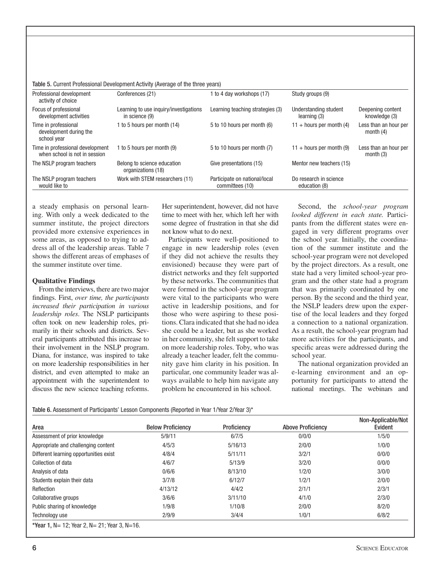|                                                                   | Table 5. Current Professional Development Activity (Average of the three years) |                                                  |                                         |                                      |
|-------------------------------------------------------------------|---------------------------------------------------------------------------------|--------------------------------------------------|-----------------------------------------|--------------------------------------|
| Professional development<br>activity of choice                    | Conferences (21)                                                                | 1 to 4 day workshops (17)                        | Study groups (9)                        |                                      |
| Focus of professional<br>development activities                   | Learning to use inquiry/investigations<br>in science (9)                        | Learning teaching strategies (3)                 | Understanding student<br>learning (3)   | Deepening content<br>knowledge (3)   |
| Time in professional<br>development during the<br>school year     | 1 to 5 hours per month (14)                                                     | 5 to 10 hours per month (6)                      | $11 +$ hours per month (4)              | Less than an hour per<br>month $(4)$ |
| Time in professional development<br>when school is not in session | 1 to 5 hours per month (9)                                                      | 5 to 10 hours per month (7)                      | $11 +$ hours per month (9)              | Less than an hour per<br>month $(3)$ |
| The NSLP program teachers                                         | Belong to science education<br>organizations (18)                               | Give presentations (15)                          | Mentor new teachers (15)                |                                      |
| The NSLP program teachers<br>would like to                        | Work with STEM researchers (11)                                                 | Participate on national/local<br>committees (10) | Do research in science<br>education (8) |                                      |

Table 5. Current Professional Development Activity (Average of the three years)

a steady emphasis on personal learning. With only a week dedicated to the summer institute, the project directors provided more extensive experiences in some areas, as opposed to trying to address all of the leadership areas. Table 7 shows the different areas of emphases of the summer institute over time.

## **Qualitative Findings**

From the interviews, there are two major findings. First, *over time, the participants increased their participation in various leadership roles*. The NSLP participants often took on new leadership roles, primarily in their schools and districts. Several participants attributed this increase to their involvement in the NSLP program. Diana, for instance, was inspired to take on more leadership responsibilities in her district, and even attempted to make an appointment with the superintendent to discuss the new science teaching reforms.

Her superintendent, however, did not have time to meet with her, which left her with some degree of frustration in that she did not know what to do next.

Participants were well-positioned to engage in new leadership roles (even if they did not achieve the results they envisioned) because they were part of district networks and they felt supported by these networks. The communities that were formed in the school-year program were vital to the participants who were active in leadership positions, and for those who were aspiring to these positions. Clara indicated that she had no idea she could be a leader, but as she worked in her community, she felt support to take on more leadership roles. Toby, who was already a teacher leader, felt the community gave him clarity in his position. In particular, one community leader was always available to help him navigate any problem he encountered in his school.

Second, the *school-year program looked different in each state.* Participants from the different states were engaged in very different programs over the school year. Initially, the coordination of the summer institute and the school-year program were not developed by the project directors. As a result, one state had a very limited school-year program and the other state had a program that was primarily coordinated by one person. By the second and the third year, the NSLP leaders drew upon the expertise of the local leaders and they forged a connection to a national organization. As a result, the school-year program had more activities for the participants, and specific areas were addressed during the school year.

The national organization provided an e-learning environment and an opportunity for participants to attend the national meetings. The webinars and

Table 6. Assessment of Participants' Lesson Components (Reported in Year 1/Year 2/Year 3)\*

| Area                                             | <b>Below Proficiency</b> | Proficiency | <b>Above Proficiency</b> | Non-Applicable/Not<br>Evident |
|--------------------------------------------------|--------------------------|-------------|--------------------------|-------------------------------|
| Assessment of prior knowledge                    | 5/9/11                   | 6/7/5       | 0/0/0                    | 1/5/0                         |
| Appropriate and challenging content              | 4/5/3                    | 5/16/13     | 2/0/0                    | 1/0/0                         |
| Different learning opportunities exist           | 4/8/4                    | 5/11/11     | 3/2/1                    | 0/0/0                         |
| Collection of data                               | 4/6/7                    | 5/13/9      | 3/2/0                    | 0/0/0                         |
| Analysis of data                                 | 0/6/6                    | 8/13/10     | 1/2/0                    | 3/0/0                         |
| Students explain their data                      | 3/7/8                    | 6/12/7      | 1/2/1                    | 2/0/0                         |
| Reflection                                       | 4/13/12                  | 4/4/2       | 2/1/1                    | 2/3/1                         |
| Collaborative groups                             | 3/6/6                    | 3/11/10     | 4/1/0                    | 2/3/0                         |
| Public sharing of knowledge                      | 1/9/8                    | 1/10/8      | 2/0/0                    | 8/2/0                         |
| Technology use                                   | 2/9/9                    | 3/4/4       | 1/0/1                    | 6/8/2                         |
| *Year 1, N = 12: Year 2, N = 21: Year 3, N = 16. |                          |             |                          |                               |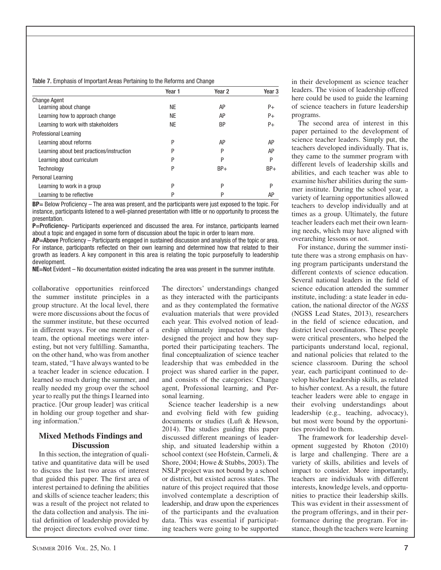## Table 7. Emphasis of Important Areas Pertaining to the Reforms and Change

|                                           | Year 1    | Year 2    | Year <sub>3</sub> |
|-------------------------------------------|-----------|-----------|-------------------|
| <b>Change Agent</b>                       |           |           |                   |
| Learning about change                     | <b>NE</b> | AP        | $P+$              |
| Learning how to approach change           | NE        | AΡ        | $P+$              |
| Learning to work with stakeholders        | NE        | <b>BP</b> | $P+$              |
| Professional Learning                     |           |           |                   |
| Learning about reforms                    | P         | AP        | AP                |
| Learning about best practices/instruction | P         | P         | AP                |
| Learning about curriculum                 | P         | P         | P                 |
| Technology                                | P         | $BP+$     | $BP+$             |
| Personal Learning                         |           |           |                   |
| Learning to work in a group               | P         | P         | P                 |
| Learning to be reflective                 | P         | P         | AP                |

**BP**= Below Proficiency – The area was present, and the participants were just exposed to the topic. For instance, participants listened to a well-planned presentation with little or no opportunity to process the presentation.

**P=Proficiency-** Participants experienced and discussed the area. For instance, participants learned about a topic and engaged in some form of discussion about the topic in order to learn more.

AP=Above Proficiency – Participants engaged in sustained discussion and analysis of the topic or area. For instance, participants reflected on their own learning and determined how that related to their growth as leaders. A key component in this area is relating the topic purposefully to leadership development.

**NE**=Not Evident – No documentation existed indicating the area was present in the summer institute.

collaborative opportunities reinforced the summer institute principles in a group structure. At the local level, there were more discussions about the focus of the summer institute, but these occurred in different ways. For one member of a team, the optional meetings were interesting, but not very fulfilling. Samantha, on the other hand, who was from another team, stated, "I have always wanted to be a teacher leader in science education. I learned so much during the summer, and really needed my group over the school year to really put the things I learned into practice. [Our group leader] was critical in holding our group together and sharing information."

# **Mixed Methods Findings and Discussion**

In this section, the integration of qualitative and quantitative data will be used to discuss the last two areas of interest that guided this paper. The first area of interest pertained to defining the abilities and skills of science teacher leaders; this was a result of the project not related to the data collection and analysis. The initial definition of leadership provided by the project directors evolved over time.

The directors' understandings changed as they interacted with the participants and as they contemplated the formative evaluation materials that were provided each year. This evolved notion of leadership ultimately impacted how they designed the project and how they supported their participating teachers. The final conceptualization of science teacher leadership that was embedded in the project was shared earlier in the paper, and consists of the categories: Change agent, Professional learning, and Personal learning.

Science teacher leadership is a new and evolving field with few guiding documents or studies (Luft & Hewson, 2014). The studies guiding this paper discussed different meanings of leadership, and situated leadership within a school context (see Hofstein, Carmeli, & Shore, 2004; Howe & Stubbs, 2003). The NSLP project was not bound by a school or district, but existed across states. The nature of this project required that those involved contemplate a description of leadership, and draw upon the experiences of the participants and the evaluation data. This was essential if participating teachers were going to be supported

in their development as science teacher leaders. The vision of leadership offered here could be used to guide the learning of science teachers in future leadership programs.

The second area of interest in this paper pertained to the development of science teacher leaders. Simply put, the teachers developed individually. That is, they came to the summer program with different levels of leadership skills and abilities, and each teacher was able to examine his/her abilities during the summer institute. During the school year, a variety of learning opportunities allowed teachers to develop individually and at times as a group. Ultimately, the future teacher leaders each met their own learning needs, which may have aligned with overarching lessons or not.

For instance, during the summer institute there was a strong emphasis on having program participants understand the different contexts of science education. Several national leaders in the field of science education attended the summer institute, including: a state leader in education, the national director of the *NGSS* (NGSS Lead States, 2013), researchers in the field of science education, and district level coordinators. These people were critical presenters, who helped the participants understand local, regional, and national policies that related to the science classroom. During the school year, each participant continued to develop his/her leadership skills, as related to his/her context. As a result, the future teacher leaders were able to engage in their evolving understandings about leadership (e.g., teaching, advocacy), but most were bound by the opportunities provided to them.

The framework for leadership development suggested by Rhoton (2010) is large and challenging. There are a variety of skills, abilities and levels of impact to consider. More importantly, teachers are individuals with different interests, knowledge levels, and opportunities to practice their leadership skills. This was evident in their assessment of the program offerings, and in their performance during the program. For instance, though the teachers were learning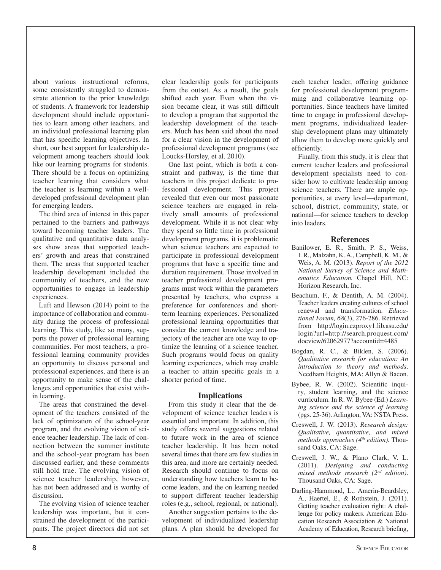about various instructional reforms, some consistently struggled to demonstrate attention to the prior knowledge of students. A framework for leadership development should include opportunities to learn among other teachers, and an individual professional learning plan that has specific learning objectives. In short, our best support for leadership development among teachers should look like our learning programs for students. There should be a focus on optimizing teacher learning that considers what the teacher is learning within a welldeveloped professional development plan for emerging leaders.

The third area of interest in this paper pertained to the barriers and pathways toward becoming teacher leaders. The qualitative and quantitative data analyses show areas that supported teachers' growth and areas that constrained them. The areas that supported teacher leadership development included the community of teachers, and the new opportunities to engage in leadership experiences.

Luft and Hewson (2014) point to the importance of collaboration and community during the process of professional learning. This study, like so many, supports the power of professional learning communities. For most teachers, a professional learning community provides an opportunity to discuss personal and professional experiences, and there is an opportunity to make sense of the challenges and opportunities that exist within learning.

The areas that constrained the development of the teachers consisted of the lack of optimization of the school-year program, and the evolving vision of science teacher leadership. The lack of connection between the summer institute and the school-year program has been discussed earlier, and these comments still hold true. The evolving vision of science teacher leadership, however, has not been addressed and is worthy of discussion.

The evolving vision of science teacher leadership was important, but it constrained the development of the participants. The project directors did not set

clear leadership goals for participants from the outset. As a result, the goals shifted each year. Even when the vision became clear, it was still difficult to develop a program that supported the leadership development of the teachers. Much has been said about the need for a clear vision in the development of professional development programs (see Loucks-Horsley, et al. 2010).

One last point, which is both a constraint and pathway, is the time that teachers in this project dedicate to professional development. This project revealed that even our most passionate science teachers are engaged in relatively small amounts of professional development. While it is not clear why they spend so little time in professional development programs, it is problematic when science teachers are expected to participate in professional development programs that have a specific time and duration requirement. Those involved in teacher professional development programs must work within the parameters presented by teachers, who express a preference for conferences and shortterm learning experiences. Personalized professional learning opportunities that consider the current knowledge and trajectory of the teacher are one way to optimize the learning of a science teacher. Such programs would focus on quality learning experiences, which may enable a teacher to attain specific goals in a shorter period of time.

# **Implications**

From this study it clear that the development of science teacher leaders is essential and important. In addition, this study offers several suggestions related to future work in the area of science teacher leadership. It has been noted several times that there are few studies in this area, and more are certainly needed. Research should continue to focus on understanding how teachers learn to become leaders, and the on learning needed to support different teacher leadership roles (e.g., school, regional, or national).

Another suggestion pertains to the development of individualized leadership plans. A plan should be developed for

each teacher leader, offering guidance for professional development programming and collaborative learning opportunities. Since teachers have limited time to engage in professional development programs, individualized leadership development plans may ultimately allow them to develop more quickly and efficiently.

Finally, from this study, it is clear that current teacher leaders and professional development specialists need to consider how to cultivate leadership among science teachers. There are ample opportunities, at every level—department, school, district, community, state, or national—for science teachers to develop into leaders.

## **References**

- Banilower, E. R., Smith, P. S., Weiss, I. R., Malzahn, K. A., Campbell, K. M., & Weis, A. M. (2013). *Report of the 2012 National Survey of Science and Mathematics Education.* Chapel Hill, NC: Horizon Research, Inc.
- Beachum, F., & Dentith, A. M. (2004). Teacher leaders creating cultures of school renewal and transformation. *Educational Forum, 68*(3), 276-286. Retrieved from http://login.ezproxy1.lib.asu.edu/ login?url=http://search.proquest.com/ docview/62062977?accountid=4485
- Bogdan, R. C., & Biklen, S. (2006). *Qualitative research for education: An introduction to theory and methods*. Needham Heights, MA: Allyn & Bacon.
- Bybee, R. W. (2002). Scientific inquiry, student learning, and the science curriculum. In R. W. Bybee (Ed.) *Learning science and the science of learning* (pgs. 25-36). Arlington, VA: NSTA Press.
- Creswell, J. W. (2013). *Research design: Qualitative, quantitative, and mixed methods approaches (4<sup>th</sup> edition)*. Thousand Oaks, CA: Sage.
- Creswell, J. W., & Plano Clark, V. L. (2011). *Designing and conducting mixed methods research (2nd edition)*. Thousand Oaks, CA: Sage.
- Darling-Hammond, L., Amerin-Beardsley, A., Haertel, E., & Rothstein, J. (2011). Getting teacher evaluation right: A challenge for policy makers. American Education Research Association & National Academy of Education, Research briefing,